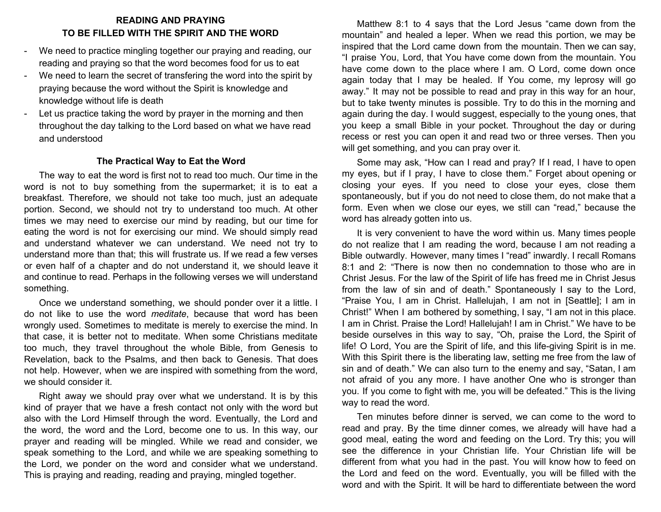## **READING AND PRAYING TO BE FILLED WITH THE SPIRIT AND THE WORD**

- We need to practice mingling together our praying and reading, our reading and praying so that the word becomes food for us to eat
- We need to learn the secret of transfering the word into the spirit by praying because the word without the Spirit is knowledge and knowledge without life is death
- Let us practice taking the word by prayer in the morning and then throughout the day talking to the Lord based on what we have read and understood

## **The Practical Way to Eat the Word**

The way to eat the word is first not to read too much. Our time in the word is not to buy something from the supermarket; it is to eat a breakfast. Therefore, we should not take too much, just an adequate portion. Second, we should not try to understand too much. At other times we may need to exercise our mind by reading, but our time for eating the word is not for exercising our mind. We should simply read and understand whatever we can understand. We need not try to understand more than that; this will frustrate us. If we read a few verses or even half of a chapter and do not understand it, we should leave it and continue to read. Perhaps in the following verses we will understand something.

Once we understand something, we should ponder over it a little. I do not like to use the word *meditate*, because that word has been wrongly used. Sometimes to meditate is merely to exercise the mind. In that case, it is better not to meditate. When some Christians meditate too much, they travel throughout the whole Bible, from Genesis to Revelation, back to the Psalms, and then back to Genesis. That does not help. However, when we are inspired with something from the word, we should consider it.

Right away we should pray over what we understand. It is by this kind of prayer that we have a fresh contact not only with the word but also with the Lord Himself through the word. Eventually, the Lord and the word, the word and the Lord, become one to us. In this way, our prayer and reading will be mingled. While we read and consider, we speak something to the Lord, and while we are speaking something to the Lord, we ponder on the word and consider what we understand. This is praying and reading, reading and praying, mingled together.

Matthew 8:1 to 4 says that the Lord Jesus "came down from the mountain" and healed a leper. When we read this portion, we may be inspired that the Lord came down from the mountain. Then we can say, "I praise You, Lord, that You have come down from the mountain. You have come down to the place where I am. O Lord, come down once again today that I may be healed. If You come, my leprosy will go away." It may not be possible to read and pray in this way for an hour, but to take twenty minutes is possible. Try to do this in the morning and again during the day. I would suggest, especially to the young ones, that you keep a small Bible in your pocket. Throughout the day or during recess or rest you can open it and read two or three verses. Then you will get something, and you can pray over it.

Some may ask, "How can I read and pray? If I read, I have to open my eyes, but if I pray, I have to close them." Forget about opening or closing your eyes. If you need to close your eyes, close them spontaneously, but if you do not need to close them, do not make that a form. Even when we close our eyes, we still can "read," because the word has already gotten into us.

It is very convenient to have the word within us. Many times people do not realize that I am reading the word, because I am not reading a Bible outwardly. However, many times I "read" inwardly. I recall Romans 8:1 and 2: "There is now then no condemnation to those who are in Christ Jesus. For the law of the Spirit of life has freed me in Christ Jesus from the law of sin and of death." Spontaneously I say to the Lord, "Praise You, I am in Christ. Hallelujah, I am not in [Seattle]; I am in Christ!" When I am bothered by something, I say, "I am not in this place. I am in Christ. Praise the Lord! Hallelujah! I am in Christ." We have to be beside ourselves in this way to say, "Oh, praise the Lord, the Spirit of life! O Lord, You are the Spirit of life, and this life-giving Spirit is in me. With this Spirit there is the liberating law, setting me free from the law of sin and of death." We can also turn to the enemy and say, "Satan, I am not afraid of you any more. I have another One who is stronger than you. If you come to fight with me, you will be defeated." This is the living way to read the word.

Ten minutes before dinner is served, we can come to the word to read and pray. By the time dinner comes, we already will have had a good meal, eating the word and feeding on the Lord. Try this; you will see the difference in your Christian life. Your Christian life will be different from what you had in the past. You will know how to feed on the Lord and feed on the word. Eventually, you will be filled with the word and with the Spirit. It will be hard to differentiate between the word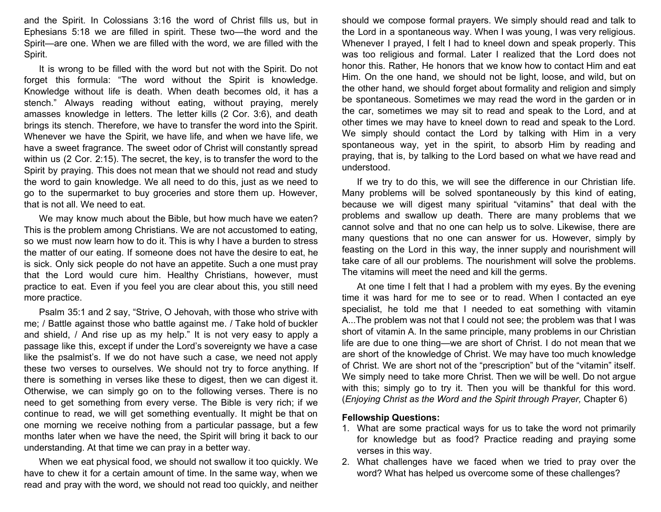and the Spirit. In Colossians 3:16 the word of Christ fills us, but in Ephesians 5:18 we are filled in spirit. These two—the word and the Spirit—are one. When we are filled with the word, we are filled with the Spirit.

It is wrong to be filled with the word but not with the Spirit. Do not forget this formula: "The word without the Spirit is knowledge. Knowledge without life is death. When death becomes old, it has a stench." Always reading without eating, without praying, merely amasses knowledge in letters. The letter kills (2 Cor. 3:6), and death brings its stench. Therefore, we have to transfer the word into the Spirit. Whenever we have the Spirit, we have life, and when we have life, we have a sweet fragrance. The sweet odor of Christ will constantly spread within us (2 Cor. 2:15). The secret, the key, is to transfer the word to the Spirit by praying. This does not mean that we should not read and study the word to gain knowledge. We all need to do this, just as we need to go to the supermarket to buy groceries and store them up. However, that is not all. We need to eat.

We may know much about the Bible, but how much have we eaten? This is the problem among Christians. We are not accustomed to eating, so we must now learn how to do it. This is why I have a burden to stress the matter of our eating. If someone does not have the desire to eat, he is sick. Only sick people do not have an appetite. Such a one must pray that the Lord would cure him. Healthy Christians, however, must practice to eat. Even if you feel you are clear about this, you still need more practice.

Psalm 35:1 and 2 say, "Strive, O Jehovah, with those who strive with me; / Battle against those who battle against me. / Take hold of buckler and shield, / And rise up as my help." It is not very easy to apply a passage like this, except if under the Lord's sovereignty we have a case like the psalmist's. If we do not have such a case, we need not apply these two verses to ourselves. We should not try to force anything. If there is something in verses like these to digest, then we can digest it. Otherwise, we can simply go on to the following verses. There is no need to get something from every verse. The Bible is very rich; if we continue to read, we will get something eventually. It might be that on one morning we receive nothing from a particular passage, but a few months later when we have the need, the Spirit will bring it back to our understanding. At that time we can pray in a better way.

When we eat physical food, we should not swallow it too quickly. We have to chew it for a certain amount of time. In the same way, when we read and pray with the word, we should not read too quickly, and neither

should we compose formal prayers. We simply should read and talk to the Lord in a spontaneous way. When I was young, I was very religious. Whenever I prayed, I felt I had to kneel down and speak properly. This was too religious and formal. Later I realized that the Lord does not honor this. Rather, He honors that we know how to contact Him and eat Him. On the one hand, we should not be light, loose, and wild, but on the other hand, we should forget about formality and religion and simply be spontaneous. Sometimes we may read the word in the garden or in the car, sometimes we may sit to read and speak to the Lord, and at other times we may have to kneel down to read and speak to the Lord. We simply should contact the Lord by talking with Him in a very spontaneous way, yet in the spirit, to absorb Him by reading and praying, that is, by talking to the Lord based on what we have read and understood.

If we try to do this, we will see the difference in our Christian life. Many problems will be solved spontaneously by this kind of eating, because we will digest many spiritual "vitamins" that deal with the problems and swallow up death. There are many problems that we cannot solve and that no one can help us to solve. Likewise, there are many questions that no one can answer for us. However, simply by feasting on the Lord in this way, the inner supply and nourishment will take care of all our problems. The nourishment will solve the problems. The vitamins will meet the need and kill the germs.

At one time I felt that I had a problem with my eyes. By the evening time it was hard for me to see or to read. When I contacted an eye specialist, he told me that I needed to eat something with vitamin A...The problem was not that I could not see; the problem was that I was short of vitamin A. In the same principle, many problems in our Christian life are due to one thing—we are short of Christ. I do not mean that we are short of the knowledge of Christ. We may have too much knowledge of Christ. We are short not of the "prescription" but of the "vitamin" itself. We simply need to take more Christ. Then we will be well. Do not argue with this; simply go to try it. Then you will be thankful for this word. (*Enjoying Christ as the Word and the Spirit through Prayer,* Chapter 6)

## **Fellowship Questions:**

- 1. What are some practical ways for us to take the word not primarily for knowledge but as food? Practice reading and praying some verses in this way.
- 2. What challenges have we faced when we tried to pray over the word? What has helped us overcome some of these challenges?